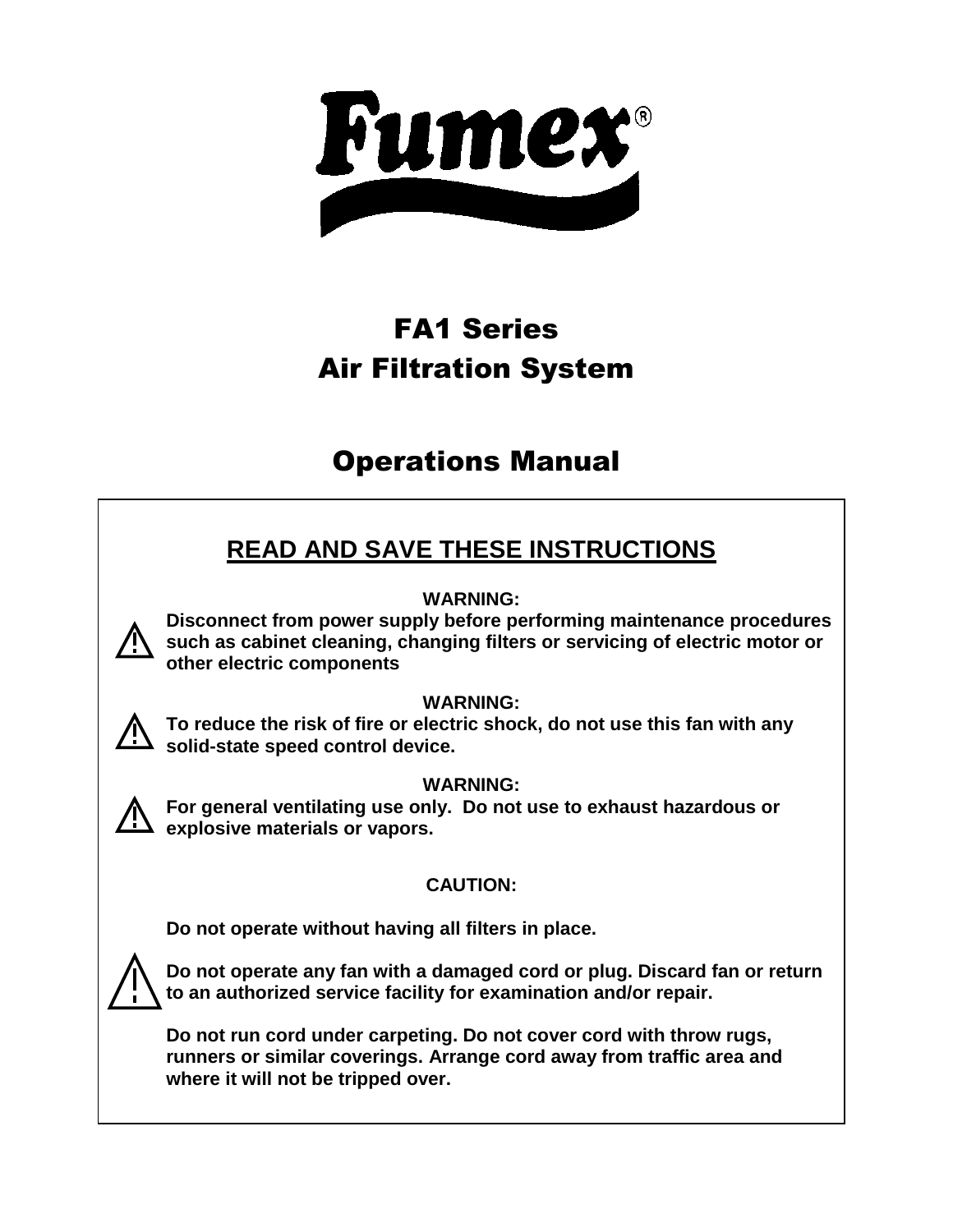

# FA1 Series Air Filtration System

# Operations Manual

# **READ AND SAVE THESE INSTRUCTIONS**

### **WARNING:**

**Disconnect from power supply before performing maintenance procedures such as cabinet cleaning, changing filters or servicing of electric motor or other electric components**

### **WARNING:**

**To reduce the risk of fire or electric shock, do not use this fan with any solid-state speed control device.**

### **WARNING:**

**For general ventilating use only. Do not use to exhaust hazardous or explosive materials or vapors.**

### **CAUTION:**

**Do not operate without having all filters in place.**



**Do not operate any fan with a damaged cord or plug. Discard fan or return to an authorized service facility for examination and/or repair.**

**Do not run cord under carpeting. Do not cover cord with throw rugs, runners or similar coverings. Arrange cord away from traffic area and where it will not be tripped over.**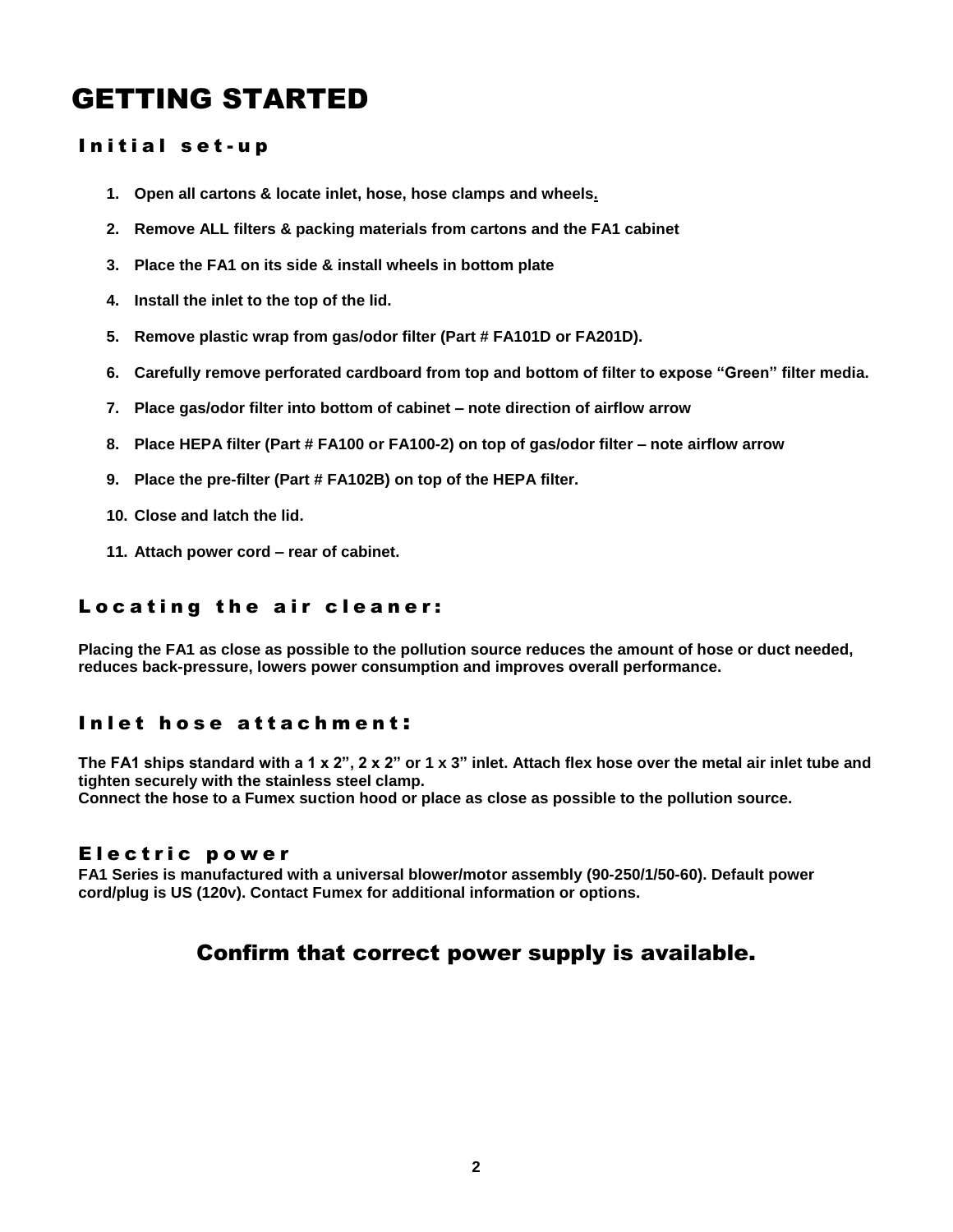# GETTING STARTED

#### Initial set-up

- **1. Open all cartons & locate inlet, hose, hose clamps and wheels.**
- **2. Remove ALL filters & packing materials from cartons and the FA1 cabinet**
- **3. Place the FA1 on its side & install wheels in bottom plate**
- **4. Install the inlet to the top of the lid.**
- **5. Remove plastic wrap from gas/odor filter (Part # FA101D or FA201D).**
- **6. Carefully remove perforated cardboard from top and bottom of filter to expose "Green" filter media.**
- **7. Place gas/odor filter into bottom of cabinet – note direction of airflow arrow**
- **8. Place HEPA filter (Part # FA100 or FA100-2) on top of gas/odor filter – note airflow arrow**
- **9. Place the pre-filter (Part # FA102B) on top of the HEPA filter.**
- **10. Close and latch the lid.**
- **11. Attach power cord – rear of cabinet.**

#### Locating the air cleaner:

**Placing the FA1 as close as possible to the pollution source reduces the amount of hose or duct needed, reduces back-pressure, lowers power consumption and improves overall performance.** 

#### Inlet hose attachment:

**The FA1 ships standard with a 1 x 2", 2 x 2" or 1 x 3" inlet. Attach flex hose over the metal air inlet tube and tighten securely with the stainless steel clamp.**

**Connect the hose to a Fumex suction hood or place as close as possible to the pollution source.**

#### Electric power

**FA1 Series is manufactured with a universal blower/motor assembly (90-250/1/50-60). Default power cord/plug is US (120v). Contact Fumex for additional information or options.**

### Confirm that correct power supply is available.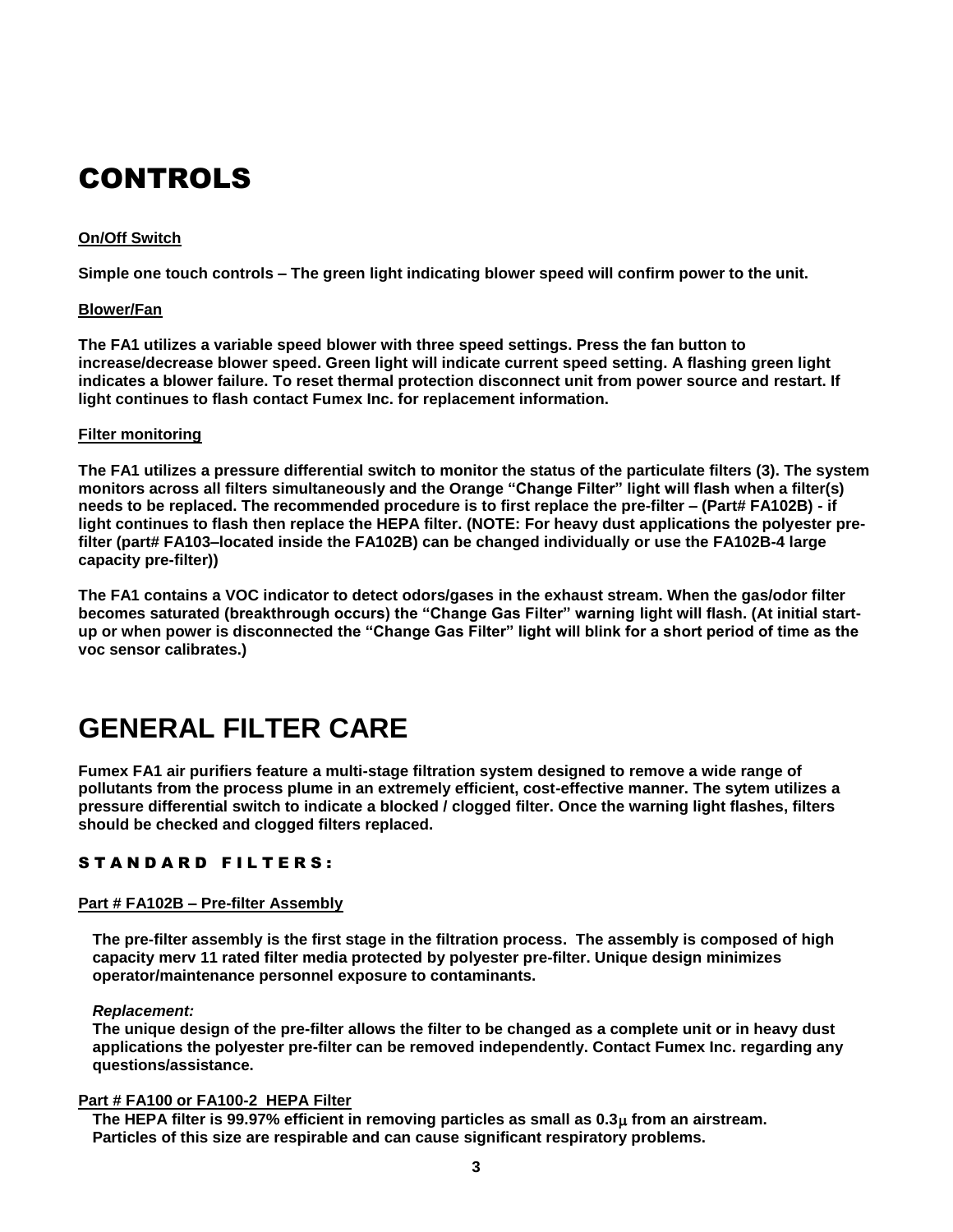# CONTROLS

#### **On/Off Switch**

**Simple one touch controls – The green light indicating blower speed will confirm power to the unit.**

#### **Blower/Fan**

**The FA1 utilizes a variable speed blower with three speed settings. Press the fan button to increase/decrease blower speed. Green light will indicate current speed setting. A flashing green light indicates a blower failure. To reset thermal protection disconnect unit from power source and restart. If light continues to flash contact Fumex Inc. for replacement information.**

#### **Filter monitoring**

**The FA1 utilizes a pressure differential switch to monitor the status of the particulate filters (3). The system monitors across all filters simultaneously and the Orange "Change Filter" light will flash when a filter(s) needs to be replaced. The recommended procedure is to first replace the pre-filter – (Part# FA102B) - if light continues to flash then replace the HEPA filter. (NOTE: For heavy dust applications the polyester prefilter (part# FA103–located inside the FA102B) can be changed individually or use the FA102B-4 large capacity pre-filter))**

**The FA1 contains a VOC indicator to detect odors/gases in the exhaust stream. When the gas/odor filter becomes saturated (breakthrough occurs) the "Change Gas Filter" warning light will flash. (At initial startup or when power is disconnected the "Change Gas Filter" light will blink for a short period of time as the voc sensor calibrates.)**

# **GENERAL FILTER CARE**

**Fumex FA1 air purifiers feature a multi-stage filtration system designed to remove a wide range of pollutants from the process plume in an extremely efficient, cost-effective manner. The sytem utilizes a pressure differential switch to indicate a blocked / clogged filter. Once the warning light flashes, filters should be checked and clogged filters replaced.** 

#### STANDARD FILTERS:

#### **Part # FA102B – Pre-filter Assembly**

**The pre-filter assembly is the first stage in the filtration process. The assembly is composed of high capacity merv 11 rated filter media protected by polyester pre-filter. Unique design minimizes operator/maintenance personnel exposure to contaminants.**

#### *Replacement:*

**The unique design of the pre-filter allows the filter to be changed as a complete unit or in heavy dust applications the polyester pre-filter can be removed independently. Contact Fumex Inc. regarding any questions/assistance.**

#### **Part # FA100 or FA100-2 HEPA Filter**

**The HEPA filter is 99.97% efficient in removing particles as small as 0.3μ from an airstream. Particles of this size are respirable and can cause significant respiratory problems.**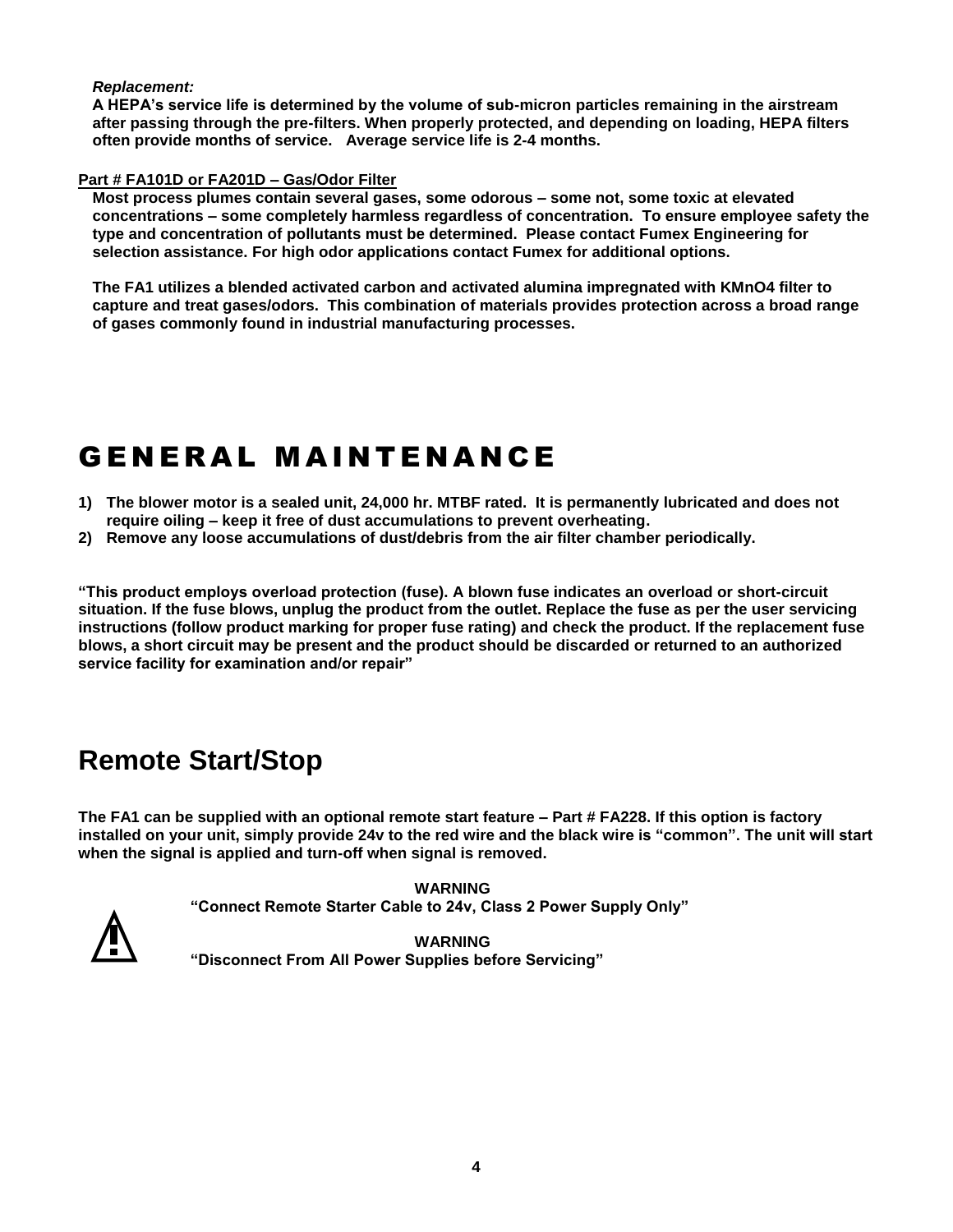#### *Replacement:*

**A HEPA's service life is determined by the volume of sub-micron particles remaining in the airstream after passing through the pre-filters. When properly protected, and depending on loading, HEPA filters often provide months of service. Average service life is 2-4 months.**

#### **Part # FA101D or FA201D – Gas/Odor Filter**

**Most process plumes contain several gases, some odorous – some not, some toxic at elevated concentrations – some completely harmless regardless of concentration. To ensure employee safety the type and concentration of pollutants must be determined. Please contact Fumex Engineering for selection assistance. For high odor applications contact Fumex for additional options.**

**The FA1 utilizes a blended activated carbon and activated alumina impregnated with KMnO4 filter to capture and treat gases/odors. This combination of materials provides protection across a broad range of gases commonly found in industrial manufacturing processes.**

# **GENERAL MAINTENANCE**

- **1) The blower motor is a sealed unit, 24,000 hr. MTBF rated. It is permanently lubricated and does not require oiling – keep it free of dust accumulations to prevent overheating.**
- **2) Remove any loose accumulations of dust/debris from the air filter chamber periodically.**

**"This product employs overload protection (fuse). A blown fuse indicates an overload or short-circuit situation. If the fuse blows, unplug the product from the outlet. Replace the fuse as per the user servicing instructions (follow product marking for proper fuse rating) and check the product. If the replacement fuse blows, a short circuit may be present and the product should be discarded or returned to an authorized service facility for examination and/or repair"**

## **Remote Start/Stop**

**The FA1 can be supplied with an optional remote start feature – Part # FA228. If this option is factory installed on your unit, simply provide 24v to the red wire and the black wire is "common". The unit will start when the signal is applied and turn-off when signal is removed.**

> **WARNING "Connect Remote Starter Cable to 24v, Class 2 Power Supply Only"**



**WARNING "Disconnect From All Power Supplies before Servicing"**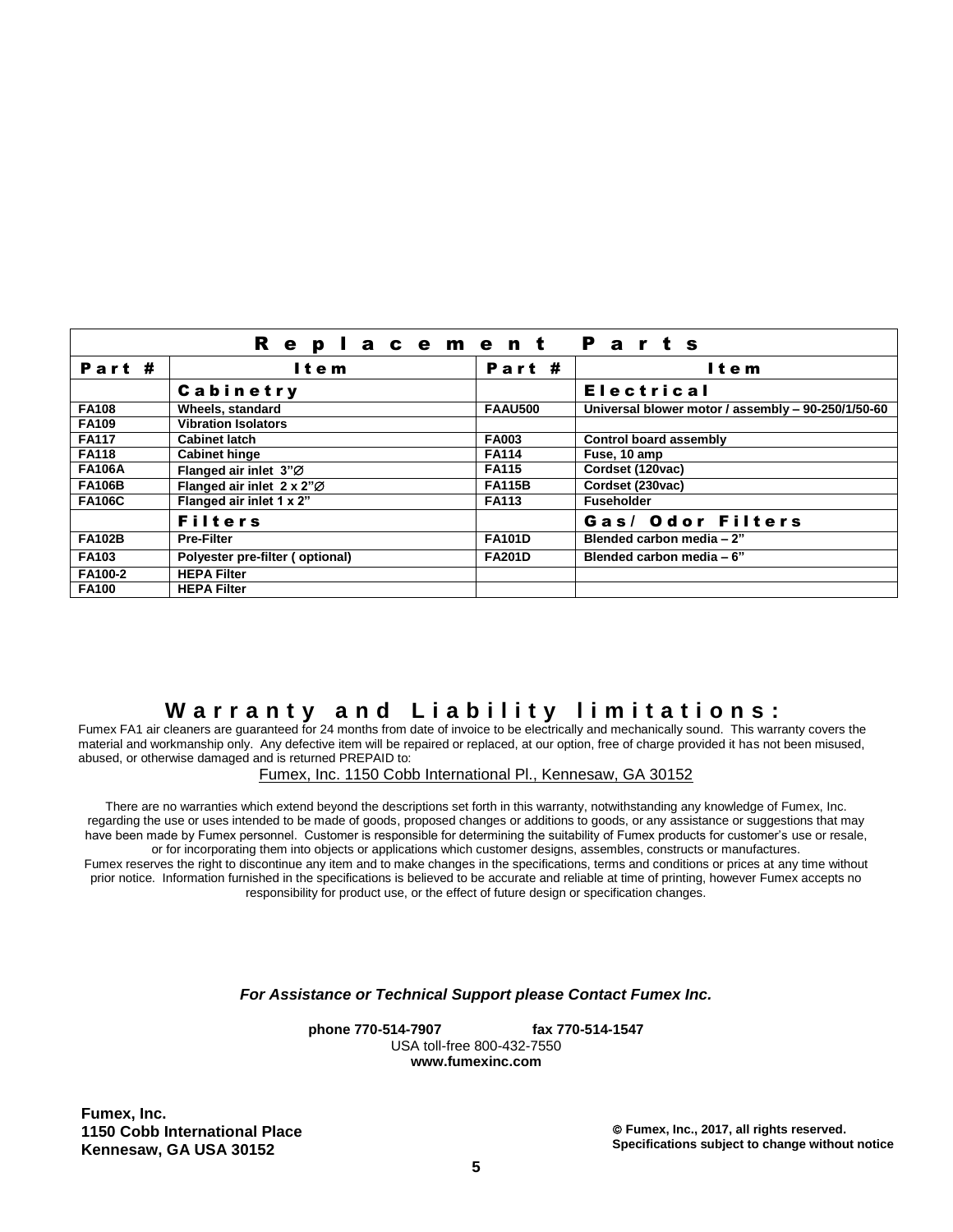|               | <b>Replacement Parts</b>        |                |                                                    |
|---------------|---------------------------------|----------------|----------------------------------------------------|
| Part #        | Item                            | Part #         | Item                                               |
|               | Cabinetry                       |                | <b>Electrical</b>                                  |
| <b>FA108</b>  | Wheels, standard                | <b>FAAU500</b> | Universal blower motor / assembly - 90-250/1/50-60 |
| <b>FA109</b>  | <b>Vibration Isolators</b>      |                |                                                    |
| <b>FA117</b>  | <b>Cabinet latch</b>            | <b>FA003</b>   | <b>Control board assembly</b>                      |
| <b>FA118</b>  | <b>Cabinet hinge</b>            | <b>FA114</b>   | Fuse, 10 amp                                       |
| <b>FA106A</b> | Flanged air inlet 3"Ø           | <b>FA115</b>   | Cordset (120vac)                                   |
| <b>FA106B</b> | Flanged air inlet 2 x 2"Ø       | <b>FA115B</b>  | Cordset (230vac)                                   |
| <b>FA106C</b> | Flanged air inlet 1 x 2"        | <b>FA113</b>   | <b>Fuseholder</b>                                  |
|               | <b>Filters</b>                  |                | Gas/ Odor Filters                                  |
| <b>FA102B</b> | <b>Pre-Filter</b>               | <b>FA101D</b>  | Blended carbon media - 2"                          |
| <b>FA103</b>  | Polyester pre-filter (optional) | <b>FA201D</b>  | Blended carbon media - 6"                          |
| FA100-2       | <b>HEPA Filter</b>              |                |                                                    |
| <b>FA100</b>  | <b>HEPA Filter</b>              |                |                                                    |

### **W a r r a n t y a n d L i a b i l i t y l i m i t a t i o n s :**

Fumex FA1 air cleaners are guaranteed for 24 months from date of invoice to be electrically and mechanically sound. This warranty covers the material and workmanship only. Any defective item will be repaired or replaced, at our option, free of charge provided it has not been misused, abused, or otherwise damaged and is returned PREPAID to:

Fumex, Inc. 1150 Cobb International Pl., Kennesaw, GA 30152

There are no warranties which extend beyond the descriptions set forth in this warranty, notwithstanding any knowledge of Fumex, Inc. regarding the use or uses intended to be made of goods, proposed changes or additions to goods, or any assistance or suggestions that may have been made by Fumex personnel. Customer is responsible for determining the suitability of Fumex products for customer's use or resale, or for incorporating them into objects or applications which customer designs, assembles, constructs or manufactures. Fumex reserves the right to discontinue any item and to make changes in the specifications, terms and conditions or prices at any time without

prior notice. Information furnished in the specifications is believed to be accurate and reliable at time of printing, however Fumex accepts no responsibility for product use, or the effect of future design or specification changes.

*For Assistance or Technical Support please Contact Fumex Inc.*

**phone 770-514-7907 fax 770-514-1547**  USA toll-free 800-432-7550 **www.fumexinc.com**

**Fumex, Inc. 1150 Cobb International Place Kennesaw, GA USA 30152**

 **Fumex, Inc., 2017, all rights reserved. Specifications subject to change without notice**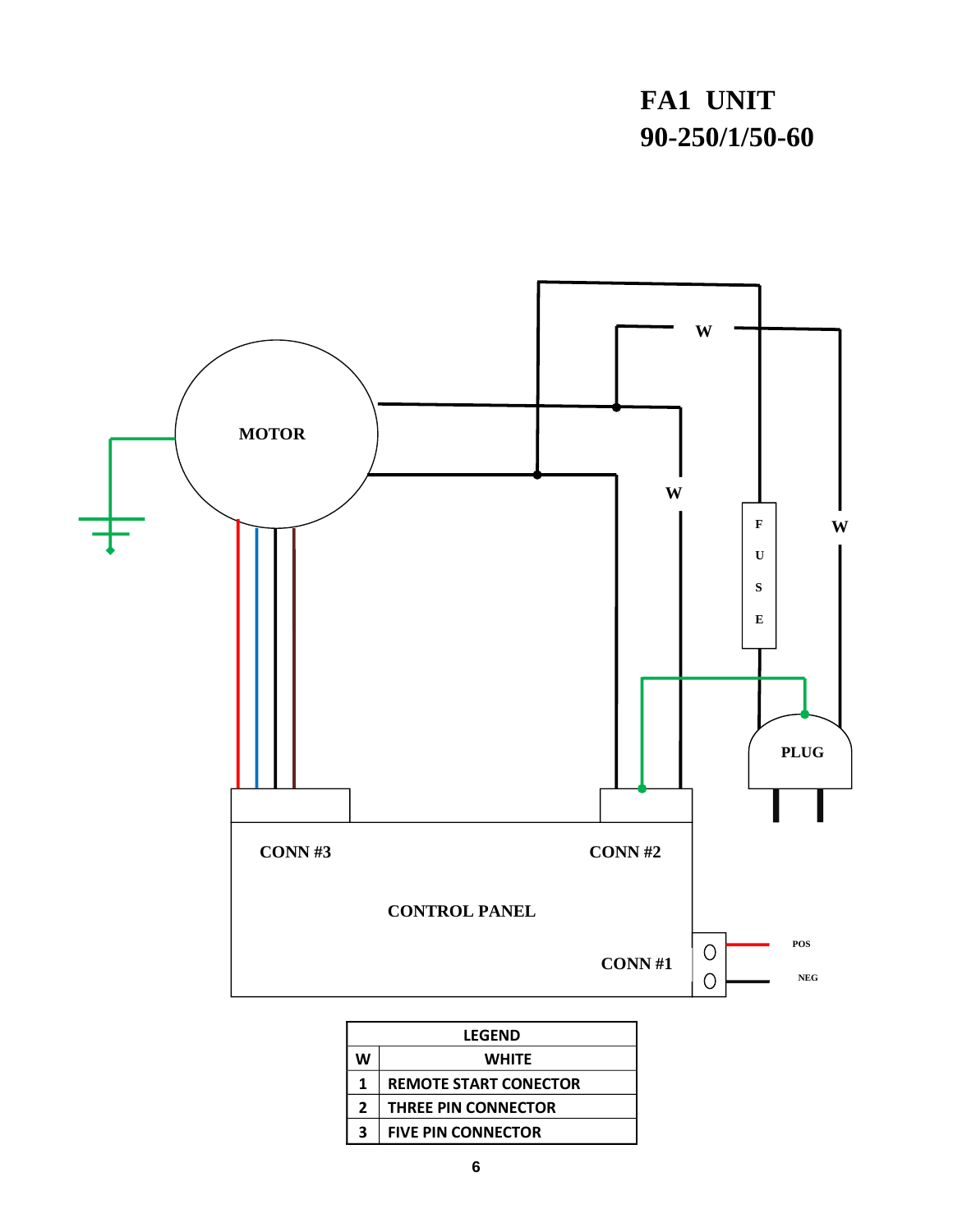# **FA1 UNIT 90-250/1/50-60**



| <b>LEGEND</b>                |  |  |  |
|------------------------------|--|--|--|
| <b>WHITE</b>                 |  |  |  |
| <b>REMOTE START CONECTOR</b> |  |  |  |
| <b>THREE PIN CONNECTOR</b>   |  |  |  |
| <b>FIVE PIN CONNECTOR</b>    |  |  |  |
|                              |  |  |  |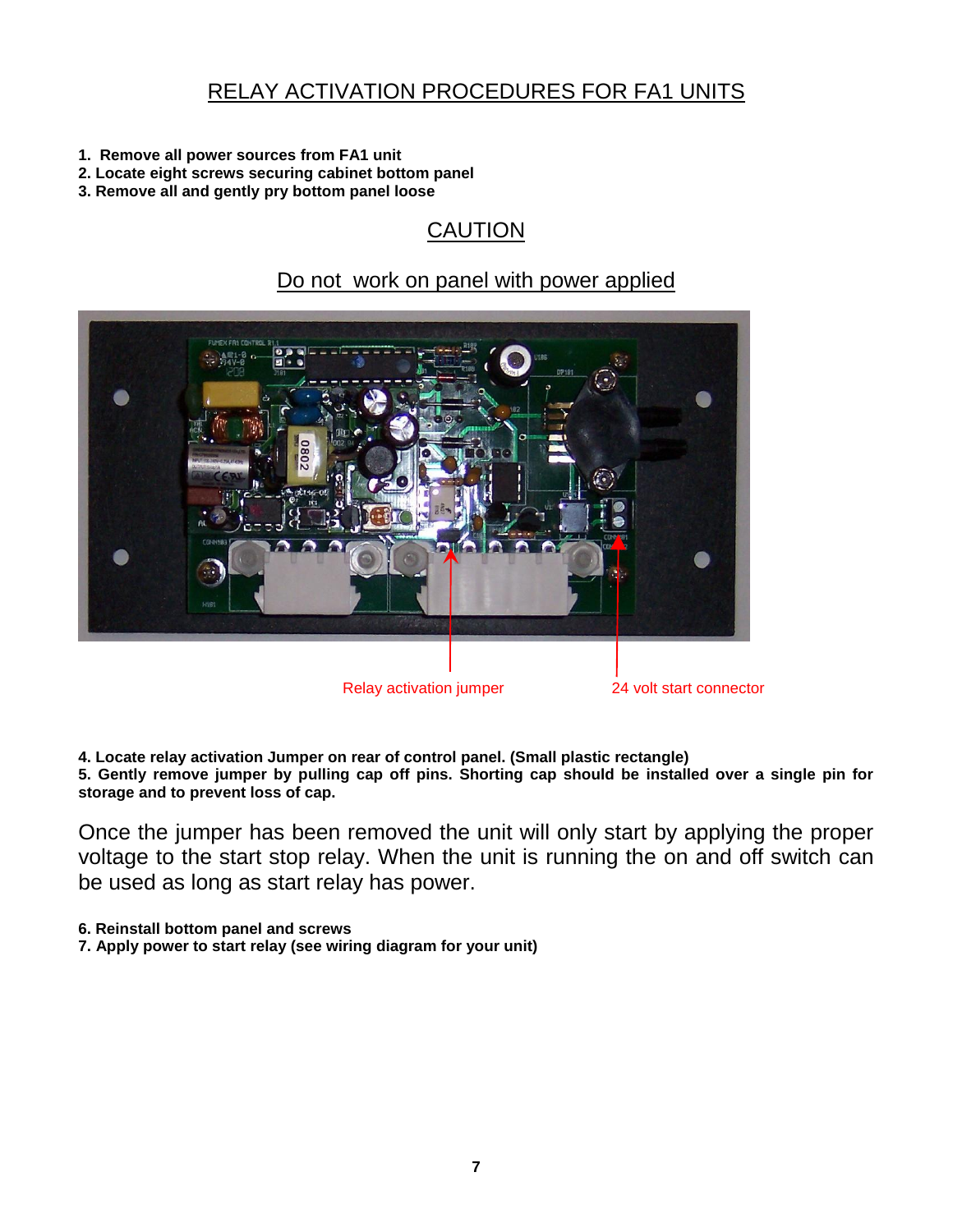## RELAY ACTIVATION PROCEDURES FOR FA1 UNITS

- **1. Remove all power sources from FA1 unit**
- **2. Locate eight screws securing cabinet bottom panel**
- **3. Remove all and gently pry bottom panel loose**

## CAUTION

### Do not work on panel with power applied



**4. Locate relay activation Jumper on rear of control panel. (Small plastic rectangle) 5. Gently remove jumper by pulling cap off pins. Shorting cap should be installed over a single pin for storage and to prevent loss of cap.**

Once the jumper has been removed the unit will only start by applying the proper voltage to the start stop relay. When the unit is running the on and off switch can be used as long as start relay has power.

**6. Reinstall bottom panel and screws**

**7. Apply power to start relay (see wiring diagram for your unit)**